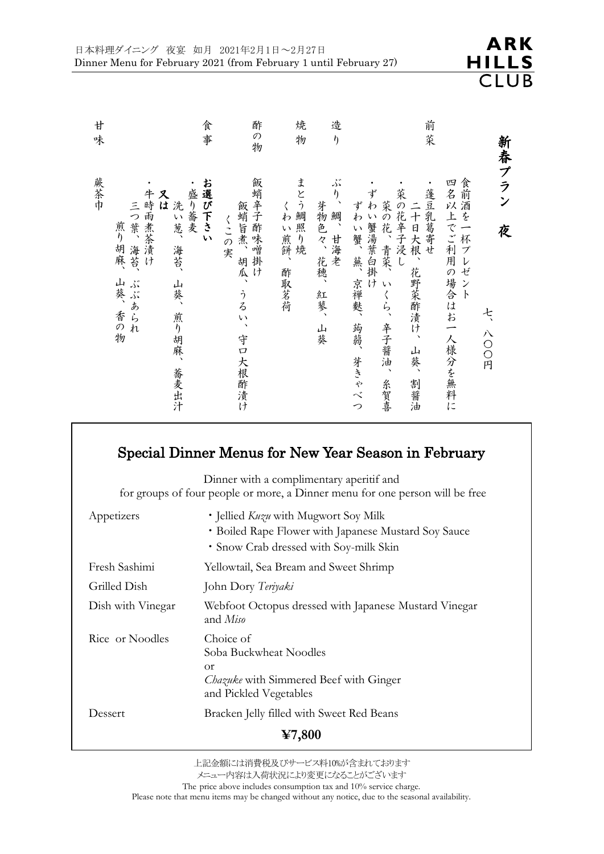| 廿<br>味 | 食<br>事                                                                                                            | 酢<br>の物                                          | 焼<br>物                    | 造<br>$\eta$                           | 前菜                                                                                                                                   |                                                              |
|--------|-------------------------------------------------------------------------------------------------------------------|--------------------------------------------------|---------------------------|---------------------------------------|--------------------------------------------------------------------------------------------------------------------------------------|--------------------------------------------------------------|
| 蕨茶巾    | お選び下さい<br>盛り蕎麦<br>牛時雨煮茶漬け<br>又は<br>洗い葱、<br>三つ葉、<br>煎り胡麻、<br>海苔、<br>海苔、<br>山葵、香の物<br>ぶぶあられ<br>山葵、<br>煎り胡麻、<br>蕎麦出汁 | 飯蛸辛子酢味噌掛け<br>飯蛸旨煮、胡瓜、<br>くこの実<br>うるい、<br>守口大根酢漬け | まとう鯛照り焼<br>くわい煎餅、<br>酢取茗荷 | ぶり、<br>芽物色々、花穂、<br>鯛、甘海老<br>紅蓼、<br>山葵 | ずわい蟹湯葉白掛け<br>蓬豆乳葛寄せ<br>菜の花辛子浸<br>菜の花、青菜、いくら、辛子醤油、<br>ずわい蟹、蕪、<br>二十日大根、花野菜酢漬け、<br>$\cup$<br>京禅麩、<br>蒟蒻、<br>山葵、<br>芽きゃべつ<br>糸賀喜<br>割醤油 | 新春プラン<br>食前酒を一杯プレゼント<br>四名以上でご利用の場合はお一人様分を無料に<br>夜<br>七、八〇〇円 |

## Special Dinner Menus for New Year Season in February

Dinner with a complimentary aperitif and for groups of four people or more, a Dinner menu for one person will be free

|                                                     | · Snow Crab dressed with Soy-milk Skin                                                                                           |  |  |  |  |
|-----------------------------------------------------|----------------------------------------------------------------------------------------------------------------------------------|--|--|--|--|
| Fresh Sashimi                                       | Yellowtail, Sea Bream and Sweet Shrimp                                                                                           |  |  |  |  |
| Grilled Dish                                        | John Dory Teriyaki                                                                                                               |  |  |  |  |
| Dish with Vinegar                                   | Webfoot Octopus dressed with Japanese Mustard Vinegar<br>and Miso                                                                |  |  |  |  |
| Rice or Noodles                                     | Choice of<br>Soba Buckwheat Noodles<br><sub>O</sub> r<br><i>Chazuke</i> with Simmered Beef with Ginger<br>and Pickled Vegetables |  |  |  |  |
| Dessert                                             | Bracken Jelly filled with Sweet Red Beans                                                                                        |  |  |  |  |
| $\textcolor{blue}{\boldsymbol{\mathfrak{Y}}}$ 7,800 |                                                                                                                                  |  |  |  |  |

The price above includes consumption tax and 10% service charge.

Please note that menu items may be changed without any notice, due to the seasonal availability.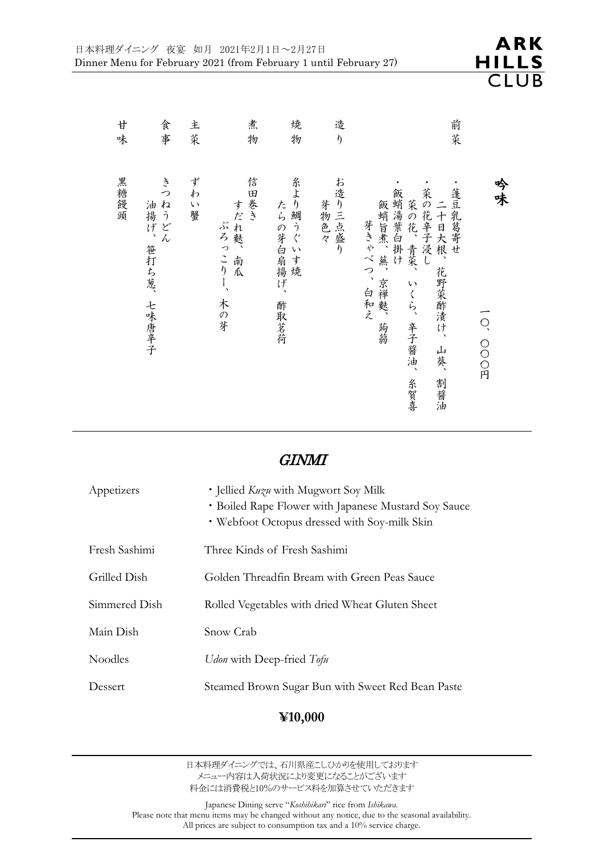| 廿<br>味 | 食事                                   | 主菜       | 煮<br>物                            | 焼<br>物                         | 造<br>$\eta$     |                                                                                             | 前菜                                            |             |
|--------|--------------------------------------|----------|-----------------------------------|--------------------------------|-----------------|---------------------------------------------------------------------------------------------|-----------------------------------------------|-------------|
| 黑糖饅頭   | き<br>っ<br>ねうどん<br>油揚げ、笹打ち葱、<br>七味唐辛子 | ずわ<br>い蟹 | 信田巻き<br>すだれ麩、南瓜<br>ぶろっこりー、<br>木の芽 | 糸より鯛うぐいす焼<br>たらの芽白扇揚げ、<br>酢取茗荷 | お造り三点盛り<br>芽物色々 | 菜の花辛子浸し<br>飯蛸湯葉白掛け<br>菜の花、青菜、<br>飯蛸旨煮、<br>芽きゃべつ、白和え<br>蕪、<br>京禅麩、<br>いくら、辛子醤油、<br>蒟蒻<br>糸賀喜 | 蓬豆乳葛寄<br>二十日大根、<br>ぜ<br>花野菜酢漬け、<br>山葵、<br>割醤油 | 吟味<br>O、OOD |

### GINMI

| Appetizers    | • Jellied <i>Kuzu</i> with Mugwort Soy Milk<br>• Boiled Rape Flower with Japanese Mustard Soy Sauce<br>• Webfoot Octopus dressed with Soy-milk Skin |
|---------------|-----------------------------------------------------------------------------------------------------------------------------------------------------|
| Fresh Sashimi | Three Kinds of Fresh Sashimi                                                                                                                        |
| Grilled Dish  | Golden Threadfin Bream with Green Peas Sauce                                                                                                        |
| Simmered Dish | Rolled Vegetables with dried Wheat Gluten Sheet                                                                                                     |
| Main Dish     | Snow Crab                                                                                                                                           |
| Noodles       | Udon with Deep-fried Tofu                                                                                                                           |
| Dessert       | Steamed Brown Sugar Bun with Sweet Red Bean Paste                                                                                                   |

### **¥10,000**

日本料理ダイニングでは、石川県産こしひかりを使用しております メニュー内容は入荷状況により変更になることがございます 料金には消費税と10%のサービス料を加算させていただきます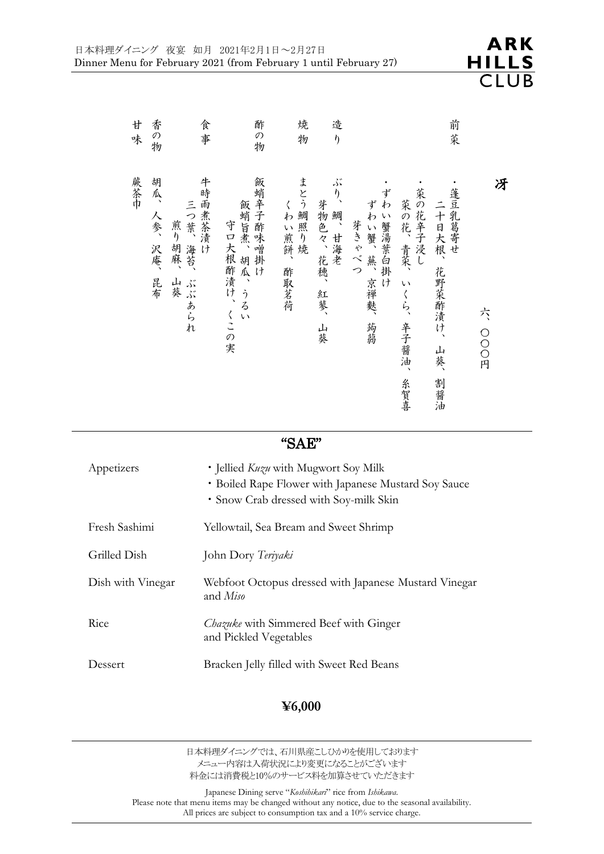| 甘味  | 香の物                 | 食事                                             | 酢の物                                      | 焼<br>物                | 造<br>$\eta$                           |                                             |                                        | 前菜                                    |             |
|-----|---------------------|------------------------------------------------|------------------------------------------|-----------------------|---------------------------------------|---------------------------------------------|----------------------------------------|---------------------------------------|-------------|
| 蕨茶巾 | 胡瓜、人参、<br>沢庵、<br>昆布 | 牛時雨煮茶漬け<br>三つ葉、<br>煎り胡麻、<br>海苔、<br>山葵<br>ぶぶあられ | 飯蛸辛子酢味噌掛け<br>飯蛸旨煮、胡瓜、うるい<br>守口大根酢漬け、くこの実 | まとう鯛照り焼<br>くわい煎餅、酢取茗荷 | ぶり、<br>芽物色々、花穂、<br>鯛、甘海老<br>紅蓼、<br>山葵 | ずわ<br>ずわい蟹、蕪、京禅麩、<br>い蟹湯葉白掛け<br>芽きゃべつ<br>蒟蒻 | 菜の花辛子浸し<br>菜の花、青菜、いくら、<br>辛子醤油、<br>糸賀喜 | 蓬豆乳葛寄せ<br>二十日大根、花野菜酢漬け、<br>山葵、<br>割醤油 | 冴<br>六、OOO円 |

#### "SAE"

| Appetizers        | • Jellied <i>Kuzu</i> with Mugwort Soy Milk<br>• Boiled Rape Flower with Japanese Mustard Soy Sauce<br>• Snow Crab dressed with Soy-milk Skin |
|-------------------|-----------------------------------------------------------------------------------------------------------------------------------------------|
| Fresh Sashimi     | Yellowtail, Sea Bream and Sweet Shrimp                                                                                                        |
| Grilled Dish      | John Dory Teriyaki                                                                                                                            |
| Dish with Vinegar | Webfoot Octopus dressed with Japanese Mustard Vinegar<br>and <i>Miso</i>                                                                      |
| Rice              | <i>Chazuke</i> with Simmered Beef with Ginger<br>and Pickled Vegetables                                                                       |
| Dessert           | Bracken Jelly filled with Sweet Red Beans                                                                                                     |

#### **¥6,000**

日本料理ダイニングでは、石川県産こしひかりを使用しております メニュー内容は入荷状況により変更になることがございます 料金には消費税と10%のサービス料を加算させていただきます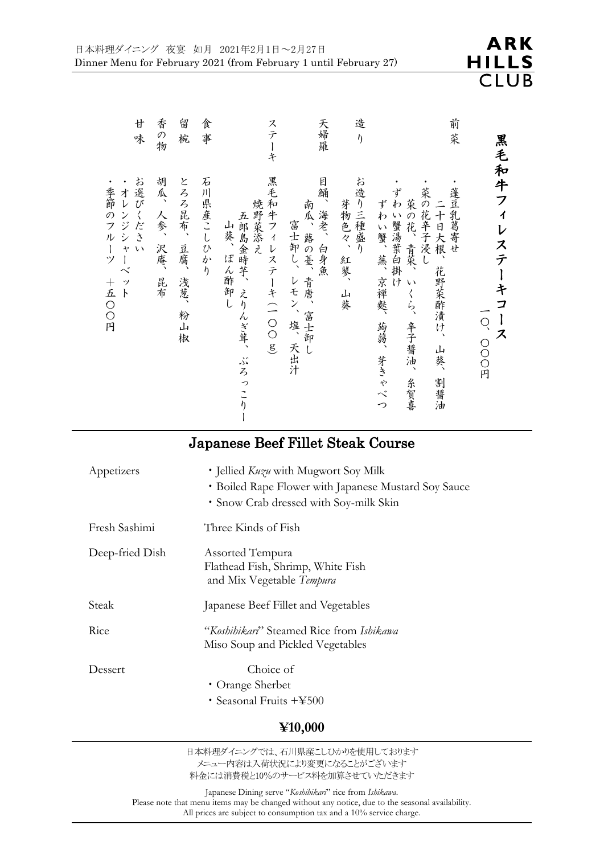・ 季 節 の フ ル ー ツ

 $\boldsymbol{+}$ 五  $\bigcirc$  $\bigcirc$ 円

| 廿<br>味                    | 香の物                 | 留<br>椀                      | 食事        | ステ<br>$\dot{\ddagger}$                                                | 天婦羅                                                                 | 造<br>$\eta$                   | 前<br>茱                                                                                                                                                |                               |
|---------------------------|---------------------|-----------------------------|-----------|-----------------------------------------------------------------------|---------------------------------------------------------------------|-------------------------------|-------------------------------------------------------------------------------------------------------------------------------------------------------|-------------------------------|
| お選びください<br>オレンジシャーベ<br>ット | 胡瓜、人参、<br>沢庵、<br>昆布 | とろろ昆布、<br>豆腐、<br>浅葱、<br>粉山椒 | 石川県産こしひかり | 黒毛和牛フィレステーキ (一〇〇g)<br>焼野菜添え<br>五郎島金時芋、えりんぎ茸、<br>山葵、<br>ぽん酢卸し<br>ぶろっこり | 目鯒、海老、白身魚<br>南瓜、蕗の薹、<br>富士卸し、<br>一 青唐、<br>レモン、<br>富士卸し<br>塩、<br>天出汁 | お造り三種盛り<br>芽物色々、<br>紅蓼、<br>山葵 | 菜の花辛子浸し<br>蓬豆乳葛寄せ<br>ずわい蟹湯葉白掛け<br>二十日大根、<br>菜の花、<br>ずわい蟹、蕪、<br>青菜、<br>花野菜酢漬け、<br>$\sqrt{ }$<br>京禅麩、<br>くら、<br>辛子醤油、<br>蒟蒻、芽きゃべつ<br>一山葵、<br>割醤油<br>糸賀喜 | 黒毛和牛フィレステーキコ<br>ーース<br>O、OOO円 |

# Japanese Beef Fillet Steak Course

ー

| Appetizers      | • Jellied <i>Kuzu</i> with Mugwort Soy Milk<br>• Boiled Rape Flower with Japanese Mustard Soy Sauce<br>• Snow Crab dressed with Soy-milk Skin |
|-----------------|-----------------------------------------------------------------------------------------------------------------------------------------------|
| Fresh Sashimi   | Three Kinds of Fish                                                                                                                           |
| Deep-fried Dish | Assorted Tempura<br>Flathead Fish, Shrimp, White Fish<br>and Mix Vegetable Tempura                                                            |
| Steak           | Japanese Beef Fillet and Vegetables                                                                                                           |
| Rice            | "Koshihikari" Steamed Rice from Ishikawa<br>Miso Soup and Pickled Vegetables                                                                  |
| Dessert         | Choice of<br>• Orange Sherbet<br>• Seasonal Fruits $+4500$                                                                                    |

#### **¥10,000**

日本料理ダイニングでは、石川県産こしひかりを使用しております メニュー内容は入荷状況により変更になることがございます 料金には消費税と10%のサービス料を加算させていただきます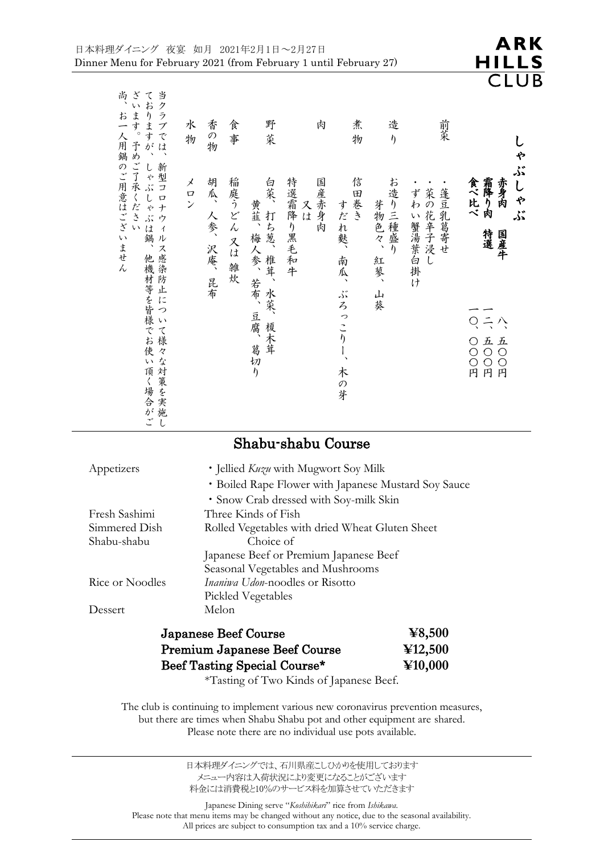| ゃ<br>ڈر<br>しゃ<br>霜降り肉<br>赤身肉<br>食べ比べ<br>ڏر<br>特選<br>国産牛<br>$Q =$<br>八 | 前菜<br>蓬豆乳葛寄せ<br>菜の花辛子浸し<br>ずわい蟹湯葉白掛け | 造<br>$\eta$<br>お造り三種盛り<br>芽物色々、<br>紅蓼、<br>山葵 | 煮<br>物<br>信田巻き<br>すだれ麩、<br>南瓜、<br>ڏر<br>$\overline{\mathcal{L}}$<br>っこり | 肉<br>特選霜降り黒毛和牛<br>国産赤身肉<br>スは | 野<br>菜<br>白菜、<br>黄韮、梅人参、若布、<br>打ち葱、椎茸、<br>水菜、榎木茸<br>豆腐、 | 食<br>事<br>稲庭うどん 又は 雑炊 | 香の物<br>胡瓜、<br>人参、<br>沢庵、<br>昆布 |
|-----------------------------------------------------------------------|--------------------------------------|----------------------------------------------|-------------------------------------------------------------------------|-------------------------------|---------------------------------------------------------|-----------------------|--------------------------------|
| 五〇〇〇円<br>○○○円                                                         |                                      |                                              | $\frac{1}{2}$<br>木の芽                                                    |                               | 葛切り                                                     |                       |                                |

### Shabu-shabu Course

| • Jellied <i>Kuzu</i> with Mugwort Soy Milk<br>• Boiled Rape Flower with Japanese Mustard Soy Sauce |
|-----------------------------------------------------------------------------------------------------|
| • Snow Crab dressed with Soy-milk Skin                                                              |
| Three Kinds of Fish                                                                                 |
| Rolled Vegetables with dried Wheat Gluten Sheet                                                     |
| Choice of                                                                                           |
| Japanese Beef or Premium Japanese Beef                                                              |
| Seasonal Vegetables and Mushrooms                                                                   |
| <i>Inaniwa Udon-noodles or Risotto</i>                                                              |
| <b>Pickled Vegetables</b>                                                                           |
| Melon                                                                                               |
|                                                                                                     |

し

ご

| <b>Japanese Beef Course</b>         | $\textcolor{blue}{\boldsymbol{\mathfrak{X}}}\textcolor{blue}{.500}$ |
|-------------------------------------|---------------------------------------------------------------------|
| <b>Premium Japanese Beef Course</b> | $\textcolor{blue}{\textbf{4}}12,500$                                |
| Beef Tasting Special Course*        | ¥10,000                                                             |

\*Tasting of Two Kinds of Japanese Beef.

The club is continuing to implement various new coronavirus prevention measures, but there are times when Shabu Shabu pot and other equipment are shared. Please note there are no individual use pots available.

> 日本料理ダイニングでは、石川県産こしひかりを使用しております メニュー内容は入荷状況により変更になることがございます 料金には消費税と10%のサービス料を加算させていただきます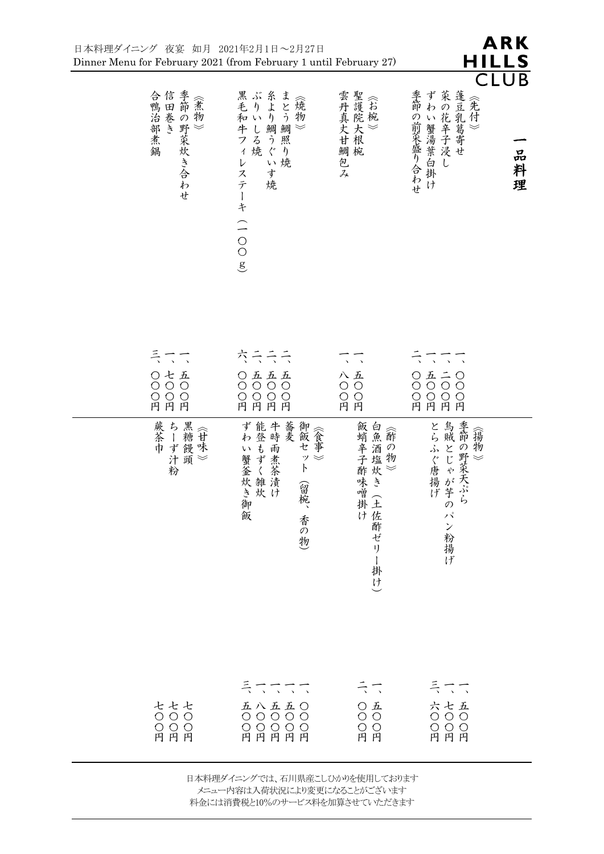| 日本料理ダイニング 夜宴 如月 2021年2月1日~2月27日<br>Dinner Menu for February 2021 (from February 1 until February 27) |                                                                                                                                             |                                                                                                              | HILLS                                                                                                                                      | ARK              |
|------------------------------------------------------------------------------------------------------|---------------------------------------------------------------------------------------------------------------------------------------------|--------------------------------------------------------------------------------------------------------------|--------------------------------------------------------------------------------------------------------------------------------------------|------------------|
| 信田巻き<br>季節の野菜炊き合わせ<br>合鴨治部煮鍋<br>《煮物<br>$\;\;\leqslant\;\;$                                           | 黒ぶりいり<br>毛和いり<br>ま<br>《燒物<br>とう鯛照<br>.牛フィ<br>鯛<br>しる焼<br>$\ll$<br>うぐ<br>$\eta$<br>い焼<br>$\mathcal{V}$<br>ステ<br>す<br>焼<br>ーキ<br>(200         | 雲丹真丈甘鯛包み聖護院大根椀                                                                                               | CLU<br>菜の花辛子浸し蓬豆乳葛寄せ<br>季節の前菜盛り合わせ<br>ずわ<br>い蟹湯葉白掛け                                                                                        | B<br>品<br>料<br>理 |
| ミママ<br>○七五<br>$O$ $O$ $O$<br>O O O<br>円円円<br>蕨茶巾<br>ちーず饅頭<br>オーブン<br>汁頭<br>粉                         | <b>六 ラ ラ ラ</b><br>○五五五<br>$O$ $O$ $O$<br>$\bigcirc$<br>O O O O<br>円円円円<br>蕎麦<br>御飯セ<br>  ずわい蟹釜炊き御飯  能登もずく雑炊 <br>ット<br>$\ll$<br>(留椀、<br>香の物) | $\rightarrow$<br>$\Delta$<br>八五<br>$\circ$ $\circ$<br>$O$ $O$<br>円円<br> 飯蛸辛子酢味噌掛け  白魚酒塩炊き(土仕 <br>·け 佐酢ゼリー掛け) | $\sqrt{2}$<br>$\mathbb{Z}^2$<br>0 1 1 0<br>$\circ \circ \circ \circ \circ$<br>O O O O<br>円円円円<br>└・・・・のふぐ唐揚げい。 ◆ おうのパン粉揚げい 「 鳥賊とじゃが芋のパン粉揚げ |                  |
| <b>ととと</b><br>〇〇〇<br>OOO<br>円円円                                                                      | ミニニニ<br>五八五五〇<br>〇〇〇〇〇<br>〇〇〇〇〇〇<br>円円円円                                                                                                    | ミニ<br>$\begin{array}{c} \bigcirc \; \text{\AA} \\ \text{\O{}} \; \text{\O{}} \end{array}$<br>O O<br>円 円      | ミニコ<br>六<br>0000円<br>円円円                                                                                                                   |                  |

日本料理ダイニングでは、石川県産こしひかりを使用しております メニュー内容は入荷状況により変更になることがございます 料金には消費税と10%のサービス料を加算させていただきます